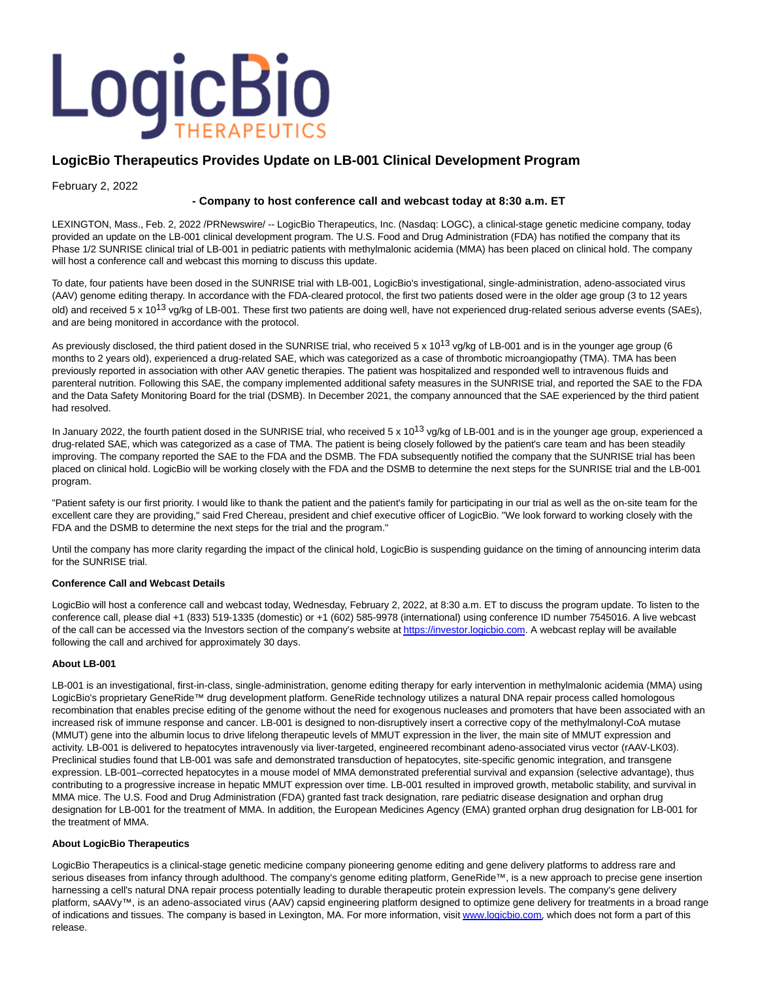

# **LogicBio Therapeutics Provides Update on LB-001 Clinical Development Program**

February 2, 2022

## **- Company to host conference call and webcast today at 8:30 a.m. ET**

LEXINGTON, Mass., Feb. 2, 2022 /PRNewswire/ -- LogicBio Therapeutics, Inc. (Nasdaq: LOGC), a clinical-stage genetic medicine company, today provided an update on the LB-001 clinical development program. The U.S. Food and Drug Administration (FDA) has notified the company that its Phase 1/2 SUNRISE clinical trial of LB-001 in pediatric patients with methylmalonic acidemia (MMA) has been placed on clinical hold. The company will host a conference call and webcast this morning to discuss this update.

To date, four patients have been dosed in the SUNRISE trial with LB-001, LogicBio's investigational, single-administration, adeno-associated virus (AAV) genome editing therapy. In accordance with the FDA-cleared protocol, the first two patients dosed were in the older age group (3 to 12 years old) and received 5 x 10<sup>13</sup> vg/kg of LB-001. These first two patients are doing well, have not experienced drug-related serious adverse events (SAEs), and are being monitored in accordance with the protocol.

As previously disclosed, the third patient dosed in the SUNRISE trial, who received 5 x 10<sup>13</sup> vg/kg of LB-001 and is in the younger age group (6 months to 2 years old), experienced a drug-related SAE, which was categorized as a case of thrombotic microangiopathy (TMA). TMA has been previously reported in association with other AAV genetic therapies. The patient was hospitalized and responded well to intravenous fluids and parenteral nutrition. Following this SAE, the company implemented additional safety measures in the SUNRISE trial, and reported the SAE to the FDA and the Data Safety Monitoring Board for the trial (DSMB). In December 2021, the company announced that the SAE experienced by the third patient had resolved.

In January 2022, the fourth patient dosed in the SUNRISE trial, who received 5 x 10<sup>13</sup> vg/kg of LB-001 and is in the younger age group, experienced a drug-related SAE, which was categorized as a case of TMA. The patient is being closely followed by the patient's care team and has been steadily improving. The company reported the SAE to the FDA and the DSMB. The FDA subsequently notified the company that the SUNRISE trial has been placed on clinical hold. LogicBio will be working closely with the FDA and the DSMB to determine the next steps for the SUNRISE trial and the LB-001 program.

"Patient safety is our first priority. I would like to thank the patient and the patient's family for participating in our trial as well as the on-site team for the excellent care they are providing," said Fred Chereau, president and chief executive officer of LogicBio. "We look forward to working closely with the FDA and the DSMB to determine the next steps for the trial and the program."

Until the company has more clarity regarding the impact of the clinical hold, LogicBio is suspending guidance on the timing of announcing interim data for the SUNRISE trial.

## **Conference Call and Webcast Details**

LogicBio will host a conference call and webcast today, Wednesday, February 2, 2022, at 8:30 a.m. ET to discuss the program update. To listen to the conference call, please dial +1 (833) 519-1335 (domestic) or +1 (602) 585-9978 (international) using conference ID number 7545016. A live webcast of the call can be accessed via the Investors section of the company's website a[t https://investor.logicbio.com.](https://investor.logicbio.com/) A webcast replay will be available following the call and archived for approximately 30 days.

## **About LB-001**

LB-001 is an investigational, first-in-class, single-administration, genome editing therapy for early intervention in methylmalonic acidemia (MMA) using LogicBio's proprietary GeneRide™ drug development platform. GeneRide technology utilizes a natural DNA repair process called homologous recombination that enables precise editing of the genome without the need for exogenous nucleases and promoters that have been associated with an increased risk of immune response and cancer. LB-001 is designed to non-disruptively insert a corrective copy of the methylmalonyl-CoA mutase (MMUT) gene into the albumin locus to drive lifelong therapeutic levels of MMUT expression in the liver, the main site of MMUT expression and activity. LB-001 is delivered to hepatocytes intravenously via liver-targeted, engineered recombinant adeno-associated virus vector (rAAV-LK03). Preclinical studies found that LB-001 was safe and demonstrated transduction of hepatocytes, site-specific genomic integration, and transgene expression. LB-001–corrected hepatocytes in a mouse model of MMA demonstrated preferential survival and expansion (selective advantage), thus contributing to a progressive increase in hepatic MMUT expression over time. LB-001 resulted in improved growth, metabolic stability, and survival in MMA mice. The U.S. Food and Drug Administration (FDA) granted fast track designation, rare pediatric disease designation and orphan drug designation for LB-001 for the treatment of MMA. In addition, the European Medicines Agency (EMA) granted orphan drug designation for LB-001 for the treatment of MMA.

## **About LogicBio Therapeutics**

LogicBio Therapeutics is a clinical-stage genetic medicine company pioneering genome editing and gene delivery platforms to address rare and serious diseases from infancy through adulthood. The company's genome editing platform, GeneRide™, is a new approach to precise gene insertion harnessing a cell's natural DNA repair process potentially leading to durable therapeutic protein expression levels. The company's gene delivery platform, sAAVy™, is an adeno-associated virus (AAV) capsid engineering platform designed to optimize gene delivery for treatments in a broad range of indications and tissues. The company is based in Lexington, MA. For more information, visit [www.logicbio.com,](https://c212.net/c/link/?t=0&l=en&o=3431385-1&h=826607598&u=https%3A%2F%2Fc212.net%2Fc%2Flink%2F%3Ft%3D0%26l%3Den%26o%3D3397408-1%26h%3D2664147455%26u%3Dhttps%253A%252F%252Fc212.net%252Fc%252Flink%252F%253Ft%253D0%2526l%253Den%2526o%253D3331013-1%2526h%253D1573718674%2526u%253Dhttps%25253A%25252F%25252Fc212.net%25252Fc%25252Flink%25252F%25253Ft%25253D0%252526l%25253Den%252526o%25253D3253316-1%252526h%25253D3086704333%252526u%25253Dhttps%2525253A%2525252F%2525252Fc212.net%2525252Fc%2525252Flink%2525252F%2525253Ft%2525253D0%25252526l%2525253Den%25252526o%2525253D3183094-1%25252526h%2525253D611245992%25252526u%2525253Dhttp%252525253A%252525252F%252525252Fwww.logicbio.com%252525252F%25252526a%2525253Dwww.logicbio.com%252526a%25253Dwww.logicbio.com%2526a%253Dwww.logicbio.com%26a%3Dwww.logicbio.com&a=www.logicbio.com) which does not form a part of this release.